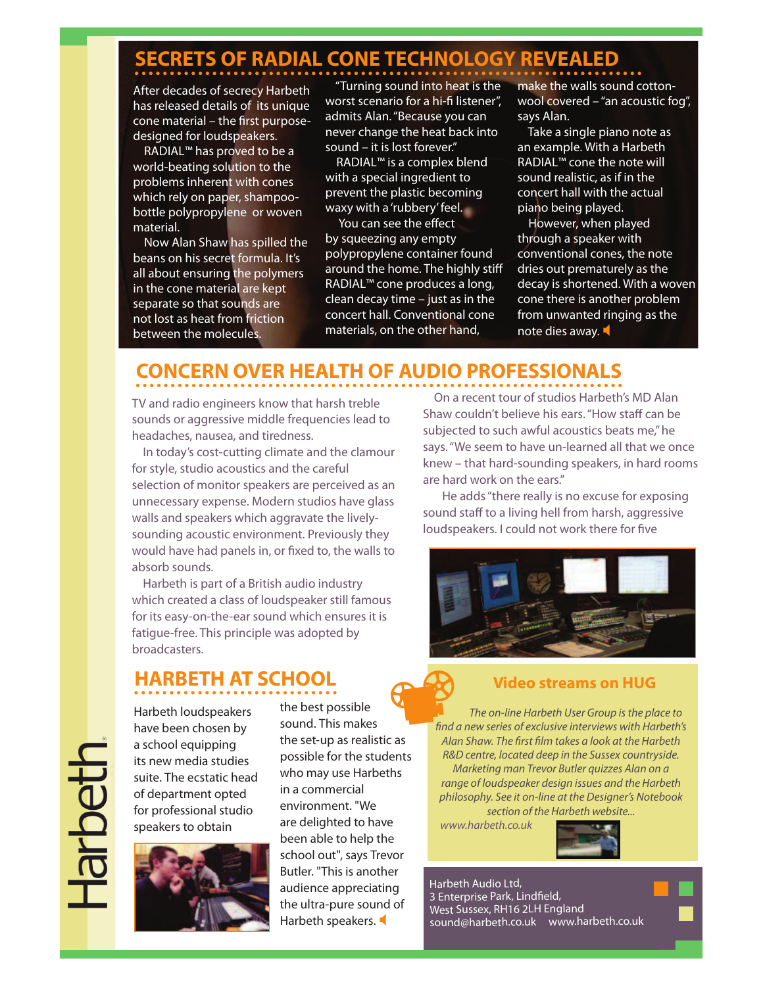# **SECRETS OF RADIAL CONE TECHNOLOGY REVEALED**

After decades of secrecy Harbeth has released details of its unique cone material – the first purposedesigned for loudspeakers.

 RADIAL™ has proved to be a world-beating solution to the problems inherent with cones which rely on paper, shampoobottle polypropylene or woven material.

 Now Alan Shaw has spilled the beans on his secret formula. It's all about ensuring the polymers in the cone material are kept separate so that sounds are not lost as heat from friction between the molecules.

 "Turning sound into heat is the worst scenario for a hi-fi listener", admits Alan. "Because you can never change the heat back into sound – it is lost forever."

 RADIAL™ is a complex blend with a special ingredient to prevent the plastic becoming waxy with a 'rubbery' feel.

You can see the effect by squeezing any empty polypropylene container found around the home. The highly stiff RADIAL™ cone produces a long, clean decay time – just as in the concert hall. Conventional cone materials, on the other hand,

make the walls sound cottonwool covered – "an acoustic fog", says Alan.

 Take a single piano note as an example. With a Harbeth RADIAL™ cone the note will sound realistic, as if in the concert hall with the actual piano being played.

 However, when played through a speaker with conventional cones, the note dries out prematurely as the decay is shortened. With a woven cone there is another problem from unwanted ringing as the note dies away.  $\blacktriangleleft$ 

## **CONCERN OVER HEALTH OF AUDIO PROFESSIONALS**

TV and radio engineers know that harsh treble sounds or aggressive middle frequencies lead to headaches, nausea, and tiredness.

 In today's cost-cutting climate and the clamour for style, studio acoustics and the careful selection of monitor speakers are perceived as an unnecessary expense. Modern studios have glass walls and speakers which aggravate the livelysounding acoustic environment. Previously they would have had panels in, or fixed to, the walls to absorb sounds.

 Harbeth is part of a British audio industry which created a class of loudspeaker still famous for its easy-on-the-ear sound which ensures it is fatigue-free. This principle was adopted by broadcasters.

### **HARBETH AT SCHOOL**

Harbeth loudspeakers have been chosen by a school equipping its new media studies suite. The ecstatic head of department opted for professional studio speakers to obtain



the best possible sound. This makes the set-up as realistic as possible for the students who may use Harbeths in a commercial environment. "We are delighted to have been able to help the school out", says Trevor Butler. "This is another audience appreciating the ultra-pure sound of Harbeth speakers.  $\begin{pmatrix} 1 & 1 \\ 1 & 1 \end{pmatrix}$ 

 On a recent tour of studios Harbeth's MD Alan Shaw couldn't believe his ears. "How staff can be subjected to such awful acoustics beats me," he says. "We seem to have un-learned all that we once knew – that hard-sounding speakers, in hard rooms are hard work on the ears."

 He adds "there really is no excuse for exposing sound staff to a living hell from harsh, aggressive loudspeakers. I could not work there for five



#### **Video streams on HUG**

The on-line Harbeth User Group is the place to !nd a new series of exclusive interviews with Harbeth's Alan Shaw. The first film takes a look at the Harbeth R&D centre, located deep in the Sussex countryside. Marketing man Trevor Butler quizzes Alan on a range of loudspeaker design issues and the Harbeth philosophy. See it on-line at the Designer's Notebook section of the Harbeth website...

www.harbeth.co.uk



Harbeth Audio Ltd, 3 Enterprise Park, Lindfield, West Sussex, RH16 2LH England sound@harbeth.co.uk www.harbeth.co.uk